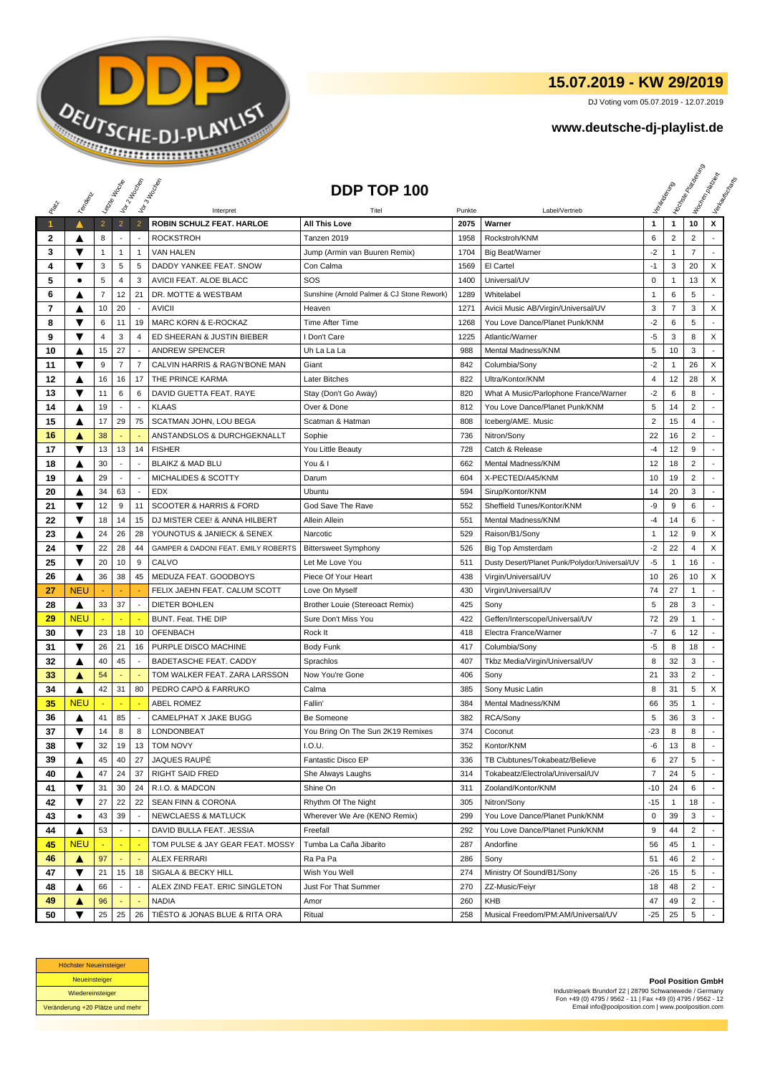

## **15.07.2019 - KW 29/2019**

DJ Voting vom 05.07.2019 - 12.07.2019

## **www.deutsche-dj-playlist.de**

|                      |            | Letre Hocke    |                          | Vor 2 Machen   | Vor3 Income                            | DDP TOP 100                                  |        |                                               |                         |                | <b>Licitorial Processing Capital</b> | Workenberg<br>Verkouwerd arts |
|----------------------|------------|----------------|--------------------------|----------------|----------------------------------------|----------------------------------------------|--------|-----------------------------------------------|-------------------------|----------------|--------------------------------------|-------------------------------|
| RIVER                | Temporal   |                |                          |                |                                        |                                              |        |                                               |                         |                |                                      |                               |
|                      |            |                |                          |                | Interpret                              | Titel                                        | Punkte | Label/Vertrieb                                |                         |                |                                      |                               |
| $\blacktriangleleft$ | ▲          | $\overline{2}$ | $\overline{2}$           | $\overline{2}$ | ROBIN SCHULZ FEAT. HARLOE              | <b>All This Love</b>                         | 2075   | Warner                                        | $\mathbf{1}$            | $\mathbf{1}$   | 10                                   | x                             |
| 2<br>3               | ▲<br>▼     | 8              | $\overline{\phantom{a}}$ |                | <b>ROCKSTROH</b>                       | Tanzen 2019<br>Jump (Armin van Buuren Remix) | 1958   | Rockstroh/KNM                                 | 6                       | $\overline{2}$ | $\overline{2}$<br>$\overline{7}$     |                               |
|                      | ▼          | 1              | 1                        | 1              | <b>VAN HALEN</b>                       |                                              | 1704   | <b>Big Beat/Warner</b>                        | $-2$<br>$-1$            | 1              |                                      |                               |
| 4                    |            | 3              | 5                        | 5              | DADDY YANKEE FEAT. SNOW                | Con Calma                                    | 1569   | El Cartel                                     |                         | 3              | 20                                   | X                             |
| 5                    | ٠          | 5              | $\overline{4}$           | 3              | AVICII FEAT. ALOE BLACC                | SOS                                          | 1400   | Universal/UV                                  | $\mathsf 0$             | $\mathbf{1}$   | 13                                   | X                             |
| 6                    | A          | $\overline{7}$ | 12                       | 21             | DR. MOTTE & WESTBAM                    | Sunshine (Arnold Palmer & CJ Stone Rework)   | 1289   | Whitelabel                                    | $\mathbf 1$             | 6              | 5                                    |                               |
| 7                    | ▲          | 10             | 20                       |                | <b>AVICII</b>                          | Heaven                                       | 1271   | Avicii Music AB/Virgin/Universal/UV           | 3                       | $\overline{7}$ | 3                                    | X                             |
| 8                    | ▼          | 6              | 11                       | 19             | MARC KORN & E-ROCKAZ                   | Time After Time                              | 1268   | You Love Dance/Planet Punk/KNM                | $-2$                    | 6              | 5                                    | $\overline{a}$                |
| 9                    | ▼          | 4              | 3                        | 4              | ED SHEERAN & JUSTIN BIEBER             | I Don't Care                                 | 1225   | Atlantic/Warner                               | $-5$                    | 3              | 8                                    | X                             |
| 10                   | ▲          | 15             | 27                       |                | <b>ANDREW SPENCER</b>                  | Uh La La La                                  | 988    | Mental Madness/KNM                            | 5                       | 10             | 3                                    |                               |
| 11                   | ▼          | 9              | $\overline{7}$           | 7              | CALVIN HARRIS & RAG'N'BONE MAN         | Giant                                        | 842    | Columbia/Sony                                 | $-2$                    | $\mathbf{1}$   | 26                                   | X                             |
| 12                   | ▲          | 16             | 16                       | 17             | THE PRINCE KARMA                       | Later Bitches                                | 822    | Ultra/Kontor/KNM                              | 4                       | 12             | 28                                   | X                             |
| 13                   | ▼          | 11             | 6                        | 6              | DAVID GUETTA FEAT. RAYE                | Stay (Don't Go Away)                         | 820    | What A Music/Parlophone France/Warner         | $-2$                    | 6              | 8                                    |                               |
| 14                   | ▲          | 19             |                          |                | <b>KLAAS</b>                           | Over & Done                                  | 812    | You Love Dance/Planet Punk/KNM                | 5                       | 14             | 2                                    |                               |
| 15                   | ▲          | 17             | 29                       | 75             | SCATMAN JOHN, LOU BEGA                 | Scatman & Hatman                             | 808    | Iceberg/AME. Music                            | $\overline{\mathbf{c}}$ | 15             | 4                                    | $\overline{a}$                |
| 16                   | Α          | 38             |                          |                | ANSTANDSLOS & DURCHGEKNALLT            | Sophie                                       | 736    | Nitron/Sony                                   | 22                      | 16             | $\overline{2}$                       |                               |
| 17                   | ▼          | 13             | 13                       | 14             | <b>FISHER</b>                          | You Little Beauty                            | 728    | Catch & Release                               | $-4$                    | 12             | 9                                    |                               |
| 18                   | ▲          | 30             | $\sim$                   | $\sim$         | <b>BLAIKZ &amp; MAD BLU</b>            | You & I                                      | 662    | Mental Madness/KNM                            | 12                      | 18             | $\overline{2}$                       |                               |
| 19                   | ▲          | 29             |                          |                | MICHALIDES & SCOTTY                    | Darum                                        | 604    | X-PECTED/A45/KNM                              | 10                      | 19             | $\overline{2}$                       |                               |
| 20                   |            | 34             | 63                       |                | <b>EDX</b>                             | Ubuntu                                       | 594    | Sirup/Kontor/KNM                              | 14                      | 20             | 3                                    | ÷                             |
| 21                   | ▼          | 12             | 9                        | 11             | <b>SCOOTER &amp; HARRIS &amp; FORD</b> | God Save The Rave                            | 552    | Sheffield Tunes/Kontor/KNM                    | -9                      | 9              | 6                                    | $\overline{a}$                |
| 22                   | ▼          | 18             | 14                       | 15             | DJ MISTER CEE! & ANNA HILBERT          | Allein Allein                                | 551    | Mental Madness/KNM                            | -4                      | 14             | 6                                    |                               |
| 23                   | ▲          | 24             | 26                       | 28             | YOUNOTUS & JANIECK & SENEX             | Narcotic                                     | 529    | Raison/B1/Sony                                | $\mathbf{1}$            | 12             | 9                                    | X                             |
| 24                   | ▼          | 22             | 28                       | 44             | GAMPER & DADONI FEAT. EMILY ROBERTS    | <b>Bittersweet Symphony</b>                  | 526    | Big Top Amsterdam                             | $-2$                    | 22             | 4                                    | X                             |
| 25                   | ▼          | 20             | 10                       | 9              | CALVO                                  | Let Me Love You                              | 511    | Dusty Desert/Planet Punk/Polydor/Universal/UV | $-5$                    | $\mathbf{1}$   | 16                                   |                               |
| 26                   | ▲          | 36             | 38                       | 45             | MEDUZA FEAT. GOODBOYS                  | Piece Of Your Heart                          | 438    | Virgin/Universal/UV                           | 10                      | 26             | 10                                   | X                             |
| 27                   | <b>NEU</b> |                |                          |                | FELIX JAEHN FEAT. CALUM SCOTT          | Love On Myself                               | 430    | Virgin/Universal/UV                           | 74                      | 27             | 1                                    | $\overline{a}$                |
| 28                   | ▲          | 33             | 37                       |                | <b>DIETER BOHLEN</b>                   | Brother Louie (Stereoact Remix)              | 425    | Sony                                          | 5                       | 28             | 3                                    |                               |
| 29                   | <b>NEU</b> |                |                          |                | BUNT. Feat. THE DIP                    | Sure Don't Miss You                          | 422    | Geffen/Interscope/Universal/UV                | 72                      | 29             | 1                                    |                               |
| 30                   | ▼          | 23             | 18                       | 10             | <b>OFENBACH</b>                        | Rock It                                      | 418    | Electra France/Warner                         | $-7$                    | 6              | 12                                   |                               |
| 31                   | ▼          | 26             | 21                       | 16             | PURPLE DISCO MACHINE                   | <b>Body Funk</b>                             | 417    | Columbia/Sony                                 | -5                      | 8              | 18                                   |                               |
| 32                   | ▲          | 40             | 45                       |                | BADETASCHE FEAT. CADDY                 | Sprachlos                                    | 407    | Tkbz Media/Virgin/Universal/UV                | 8                       | 32             | 3                                    | $\sim$                        |
| 33                   | ▲          | 54             |                          |                | TOM WALKER FEAT. ZARA LARSSON          | Now You're Gone                              | 406    | Sony                                          | 21                      | 33             | 2                                    | $\overline{\phantom{a}}$      |
| 34                   | ▲          | 42             | 31                       | 80             | PEDRO CAPÒ & FARRUKO                   | Calma                                        | 385    | Sony Music Latin                              | 8                       | 31             | 5                                    | X                             |
| 35                   | <b>NEU</b> |                |                          |                | <b>ABEL ROMEZ</b>                      | Fallin'                                      | 384    | <b>Mental Madness/KNM</b>                     | 66                      | 35             | 1                                    | $\overline{\phantom{a}}$      |
| 36                   | ▲          | 41             | 85                       |                | CAMELPHAT X JAKE BUGG                  | Be Someone                                   | 382    | RCA/Sony                                      | 5                       | 36             | 3                                    |                               |
| 37                   | ▼          | 14             | 8                        | 8              | LONDONBEAT                             | You Bring On The Sun 2K19 Remixes            | 374    | Coconut                                       | $-23$                   | 8              | 8                                    | ÷                             |
| 38                   | ▼          | 32             | 19                       | 13             | <b>TOM NOVY</b>                        | I.O.U.                                       | 352    | Kontor/KNM                                    | -6                      | 13             | 8                                    |                               |
| 39                   | ▲          | 45             | 40                       | 27             | JAQUES RAUPÉ                           | Fantastic Disco EP                           | 336    | TB Clubtunes/Tokabeatz/Believe                | 6                       | 27             | 5                                    |                               |
| 40                   | ▲          | 47             | 24                       | 37             | <b>RIGHT SAID FRED</b>                 | She Always Laughs                            | 314    | Tokabeatz/Electrola/Universal/UV              | 7                       | 24             | 5                                    |                               |
| 41                   | ▼          | 31             | 30                       | 24             | R.I.O. & MADCON                        | Shine On                                     | 311    | Zooland/Kontor/KNM                            | $-10$                   | 24             | 6                                    |                               |
| 42                   | ▼          | 27             | 22                       | 22             | <b>SEAN FINN &amp; CORONA</b>          | Rhythm Of The Night                          | 305    | Nitron/Sony                                   | $-15$                   | $\mathbf{1}$   | 18                                   |                               |
| 43                   | ٠          | 43             | 39                       |                | <b>NEWCLAESS &amp; MATLUCK</b>         | Wherever We Are (KENO Remix)                 | 299    | You Love Dance/Planet Punk/KNM                | 0                       | 39             | 3                                    |                               |
| 44                   | ▲          | 53             |                          |                | DAVID BULLA FEAT. JESSIA               | Freefall                                     | 292    | You Love Dance/Planet Punk/KNM                | 9                       | 44             | $\overline{2}$                       |                               |
| 45                   | <b>NEU</b> |                |                          |                | TOM PULSE & JAY GEAR FEAT. MOSSY       | Tumba La Caña Jibarito                       | 287    | Andorfine                                     | 56                      | 45             | 1                                    |                               |
| 46                   | ▲          | 97             | ÷                        |                | <b>ALEX FERRARI</b>                    | Ra Pa Pa                                     | 286    | Sony                                          | 51                      | 46             | $\overline{2}$                       | $\sim$                        |
| 47                   | ▼          | 21             | 15                       | 18             | SIGALA & BECKY HILL                    | Wish You Well                                | 274    | Ministry Of Sound/B1/Sony                     | $-26$                   | 15             | 5                                    |                               |
| 48                   | ▲          | 66             |                          |                | ALEX ZIND FEAT. ERIC SINGLETON         | Just For That Summer                         | 270    | ZZ-Music/Feiyr                                | 18                      | 48             | $\overline{2}$                       |                               |
| 49                   | Δ          | 96             |                          |                | <b>NADIA</b>                           | Amor                                         | 260    | KHB                                           | 47                      | 49             | $\overline{2}$                       | $\blacksquare$                |
| 50                   | ▼          | 25             | 25                       | 26             | TIËSTO & JONAS BLUE & RITA ORA         | Ritual                                       | 258    | Musical Freedom/PM:AM/Universal/UV            | $-25$                   | 25             | 5                                    |                               |



**Pool Position GmbH** Industriepark Brundorf 22 | 28790 Schwanewede / Germany Fon +49 (0) 4795 / 9562 - 11 | Fax +49 (0) 4795 / 9562 - 12 Email info@poolposition.com | www.poolposition.com